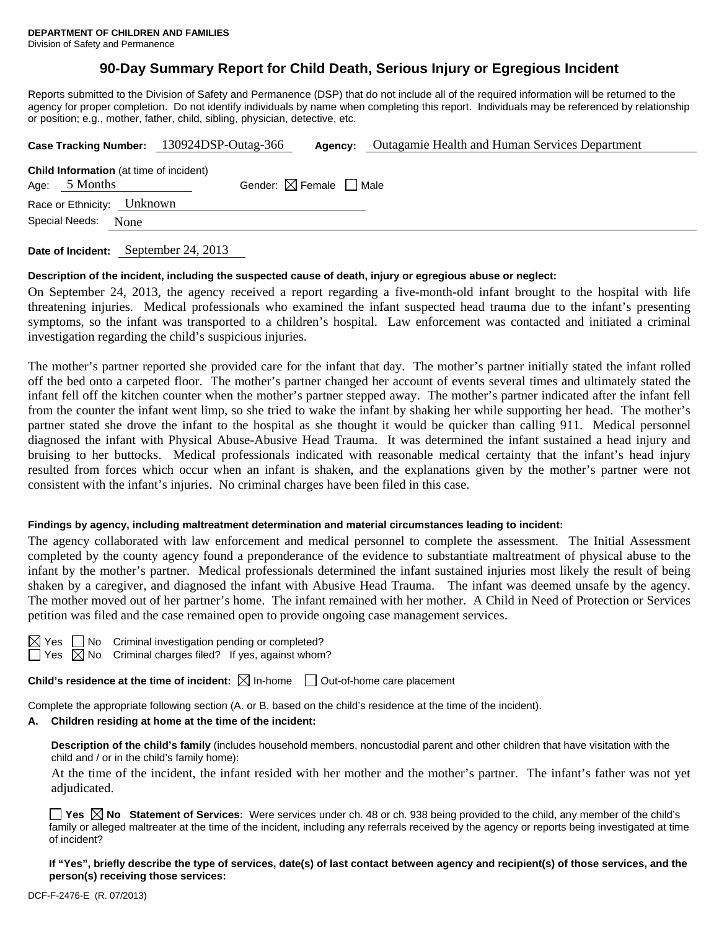# **90-Day Summary Report for Child Death, Serious Injury or Egregious Incident**

Reports submitted to the Division of Safety and Permanence (DSP) that do not include all of the required information will be returned to the agency for proper completion. Do not identify individuals by name when completing this report. Individuals may be referenced by relationship or position; e.g., mother, father, child, sibling, physician, detective, etc.

|                                                                   | Case Tracking Number: 130924DSP-Outag-366 | Agency:                                | <b>Outagamie Health and Human Services Department</b> |
|-------------------------------------------------------------------|-------------------------------------------|----------------------------------------|-------------------------------------------------------|
| <b>Child Information</b> (at time of incident)<br>Age: $5$ Months |                                           | Gender: $\boxtimes$ Female $\Box$ Male |                                                       |
| Race or Ethnicity: Unknown                                        |                                           |                                        |                                                       |
| Special Needs:<br>None                                            |                                           |                                        |                                                       |
|                                                                   |                                           |                                        |                                                       |

**Date of Incident:** September 24, 2013

### **Description of the incident, including the suspected cause of death, injury or egregious abuse or neglect:**

On September 24, 2013, the agency received a report regarding a five-month-old infant brought to the hospital with life threatening injuries. Medical professionals who examined the infant suspected head trauma due to the infant's presenting symptoms, so the infant was transported to a children's hospital. Law enforcement was contacted and initiated a criminal investigation regarding the child's suspicious injuries.

The mother's partner reported she provided care for the infant that day. The mother's partner initially stated the infant rolled off the bed onto a carpeted floor. The mother's partner changed her account of events several times and ultimately stated the infant fell off the kitchen counter when the mother's partner stepped away. The mother's partner indicated after the infant fell from the counter the infant went limp, so she tried to wake the infant by shaking her while supporting her head. The mother's partner stated she drove the infant to the hospital as she thought it would be quicker than calling 911. Medical personnel diagnosed the infant with Physical Abuse-Abusive Head Trauma. It was determined the infant sustained a head injury and bruising to her buttocks. Medical professionals indicated with reasonable medical certainty that the infant's head injury resulted from forces which occur when an infant is shaken, and the explanations given by the mother's partner were not consistent with the infant's injuries. No criminal charges have been filed in this case.

#### **Findings by agency, including maltreatment determination and material circumstances leading to incident:**

The agency collaborated with law enforcement and medical personnel to complete the assessment. The Initial Assessment completed by the county agency found a preponderance of the evidence to substantiate maltreatment of physical abuse to the infant by the mother's partner. Medical professionals determined the infant sustained injuries most likely the result of being shaken by a caregiver, and diagnosed the infant with Abusive Head Trauma. The infant was deemed unsafe by the agency. The mother moved out of her partner's home. The infant remained with her mother. A Child in Need of Protection or Services petition was filed and the case remained open to provide ongoing case management services.

No Criminal investigation pending or completed?

 $\boxtimes$  No Criminal charges filed? If yes, against whom?

**Child's residence at the time of incident:**  $\boxtimes$  In-home  $\Box$  Out-of-home care placement

Complete the appropriate following section (A. or B. based on the child's residence at the time of the incident).

#### **A. Children residing at home at the time of the incident:**

**Description of the child's family** (includes household members, noncustodial parent and other children that have visitation with the child and / or in the child's family home):

 At the time of the incident, the infant resided with her mother and the mother's partner. The infant's father was not yet adjudicated.

**Yes No Statement of Services:** Were services under ch. 48 or ch. 938 being provided to the child, any member of the child's family or alleged maltreater at the time of the incident, including any referrals received by the agency or reports being investigated at time of incident?

**If "Yes", briefly describe the type of services, date(s) of last contact between agency and recipient(s) of those services, and the person(s) receiving those services:**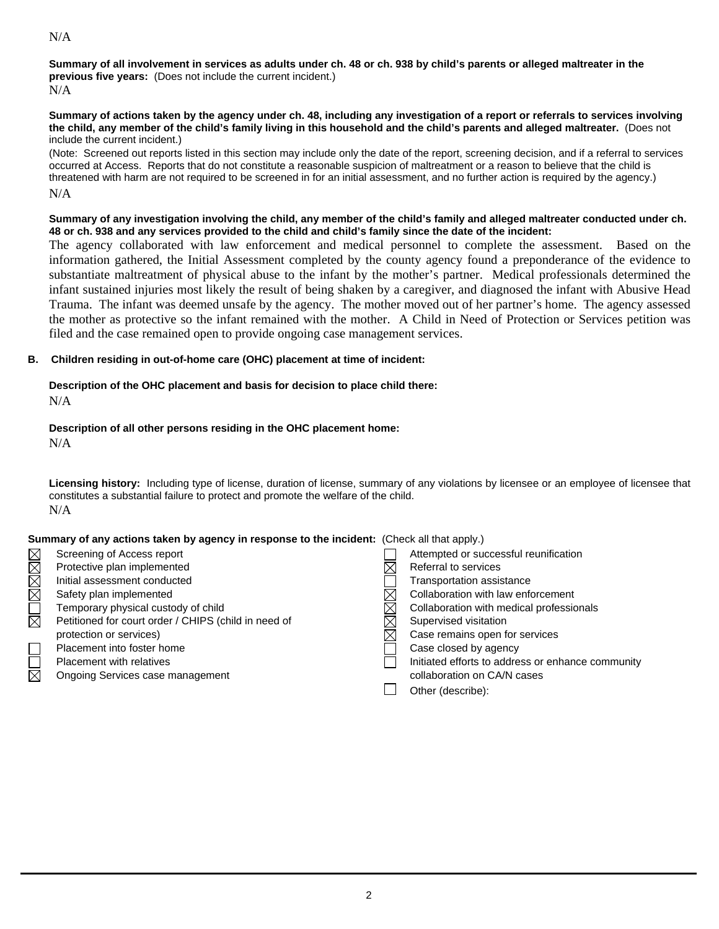## N/A

**Summary of all involvement in services as adults under ch. 48 or ch. 938 by child's parents or alleged maltreater in the previous five years:** (Does not include the current incident.) N/A

#### **Summary of actions taken by the agency under ch. 48, including any investigation of a report or referrals to services involving the child, any member of the child's family living in this household and the child's parents and alleged maltreater.** (Does not include the current incident.)

(Note: Screened out reports listed in this section may include only the date of the report, screening decision, and if a referral to services occurred at Access. Reports that do not constitute a reasonable suspicion of maltreatment or a reason to believe that the child is threatened with harm are not required to be screened in for an initial assessment, and no further action is required by the agency.) N/A

### **Summary of any investigation involving the child, any member of the child's family and alleged maltreater conducted under ch. 48 or ch. 938 and any services provided to the child and child's family since the date of the incident:**

The agency collaborated with law enforcement and medical personnel to complete the assessment. Based on the information gathered, the Initial Assessment completed by the county agency found a preponderance of the evidence to substantiate maltreatment of physical abuse to the infant by the mother's partner. Medical professionals determined the infant sustained injuries most likely the result of being shaken by a caregiver, and diagnosed the infant with Abusive Head Trauma. The infant was deemed unsafe by the agency. The mother moved out of her partner's home. The agency assessed the mother as protective so the infant remained with the mother. A Child in Need of Protection or Services petition was filed and the case remained open to provide ongoing case management services.

# **B. Children residing in out-of-home care (OHC) placement at time of incident:**

#### **Description of the OHC placement and basis for decision to place child there:** N/A

# **Description of all other persons residing in the OHC placement home:**

N/A

**Licensing history:** Including type of license, duration of license, summary of any violations by licensee or an employee of licensee that constitutes a substantial failure to protect and promote the welfare of the child. N/A

### **Summary of any actions taken by agency in response to the incident:** (Check all that apply.)

| $\boxtimes$ | Screening of Access report                           | Attempted or successful reunification             |
|-------------|------------------------------------------------------|---------------------------------------------------|
|             | Protective plan implemented                          | Referral to services                              |
| $\boxtimes$ | Initial assessment conducted                         | Transportation assistance                         |
| $\boxtimes$ | Safety plan implemented                              | Collaboration with law enforcement                |
|             | Temporary physical custody of child                  | Collaboration with medical professionals          |
| $\boxtimes$ | Petitioned for court order / CHIPS (child in need of | Supervised visitation                             |
|             | protection or services)                              | Case remains open for services                    |
|             | Placement into foster home                           | Case closed by agency                             |
|             | <b>Placement with relatives</b>                      | Initiated efforts to address or enhance community |
| $\boxtimes$ | Ongoing Services case management                     | collaboration on CA/N cases                       |
|             |                                                      | Other (describe):                                 |
|             |                                                      |                                                   |